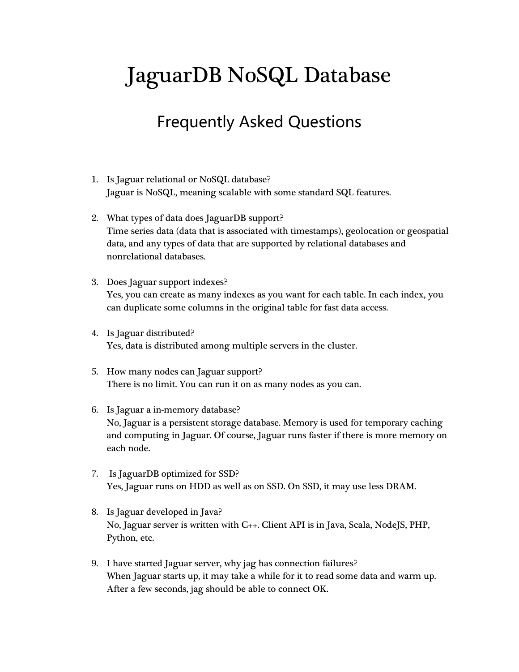## JaguarDB NoSQL Database

## Frequently Asked Questions

- 1. Is Jaguar relational or NoSQL database? Jaguar is NoSQL, meaning scalable with some standard SQL features.
- 2. What types of data does JaguarDB support? Time series data (data that is associated with timestamps), geolocation or geospatial data, and any types of data that are supported by relational databases and nonrelational databases.
- 3. Does Jaguar support indexes? Yes, you can create as many indexes as you want for each table. In each index, you can duplicate some columns in the original table for fast data access.
- 4. Is Jaguar distributed? Yes, data is distributed among multiple servers in the cluster.
- 5. How many nodes can Jaguar support? There is no limit. You can run it on as many nodes as you can.
- 6. Is Jaguar a in-memory database? No, Jaguar is a persistent storage database. Memory is used for temporary caching and computing in Jaguar. Of course, Jaguar runs faster if there is more memory on each node.
- 7. Is JaguarDB optimized for SSD? Yes, Jaguar runs on HDD as well as on SSD. On SSD, it may use less DRAM.
- 8. Is Jaguar developed in Java? No, Jaguar server is written with C++. Client API is in Java, Scala, NodeJS, PHP, Python, etc.
- 9. I have started Jaguar server, why jag has connection failures? When Jaguar starts up, it may take a while for it to read some data and warm up. After a few seconds, jag should be able to connect OK.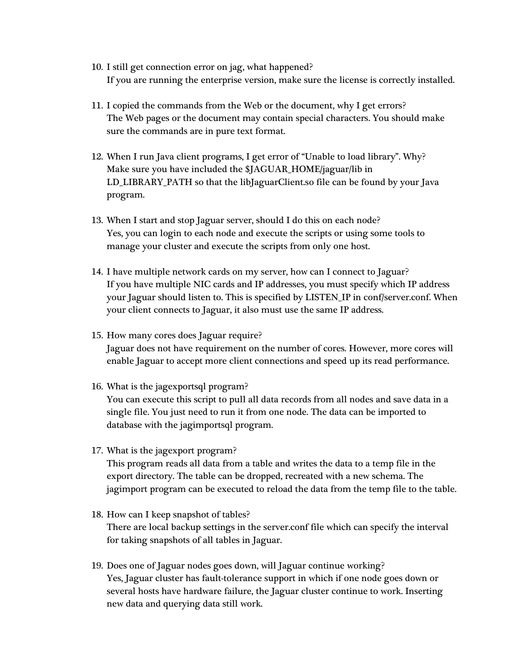- 10. I still get connection error on jag, what happened? If you are running the enterprise version, make sure the license is correctly installed.
- 11. I copied the commands from the Web or the document, why I get errors? The Web pages or the document may contain special characters. You should make sure the commands are in pure text format.
- 12. When I run Java client programs, I get error of "Unable to load library". Why? Make sure you have included the \$JAGUAR\_HOME/jaguar/lib in LD\_LIBRARY\_PATH so that the libJaguarClient.so file can be found by your Java program.
- 13. When I start and stop Jaguar server, should I do this on each node? Yes, you can login to each node and execute the scripts or using some tools to manage your cluster and execute the scripts from only one host.
- 14. I have multiple network cards on my server, how can I connect to Jaguar? If you have multiple NIC cards and IP addresses, you must specify which IP address your Jaguar should listen to. This is specified by LISTEN\_IP in conf/server.conf. When your client connects to Jaguar, it also must use the same IP address.
- 15. How many cores does Jaguar require? Jaguar does not have requirement on the number of cores. However, more cores will enable Jaguar to accept more client connections and speed up its read performance.
- 16. What is the jagexportsql program?

You can execute this script to pull all data records from all nodes and save data in a single file. You just need to run it from one node. The data can be imported to database with the jagimportsql program.

17. What is the jagexport program?

This program reads all data from a table and writes the data to a temp file in the export directory. The table can be dropped, recreated with a new schema. The jagimport program can be executed to reload the data from the temp file to the table.

- 18. How can I keep snapshot of tables? There are local backup settings in the server.conf file which can specify the interval for taking snapshots of all tables in Jaguar.
- 19. Does one of Jaguar nodes goes down, will Jaguar continue working? Yes, Jaguar cluster has fault-tolerance support in which if one node goes down or several hosts have hardware failure, the Jaguar cluster continue to work. Inserting new data and querying data still work.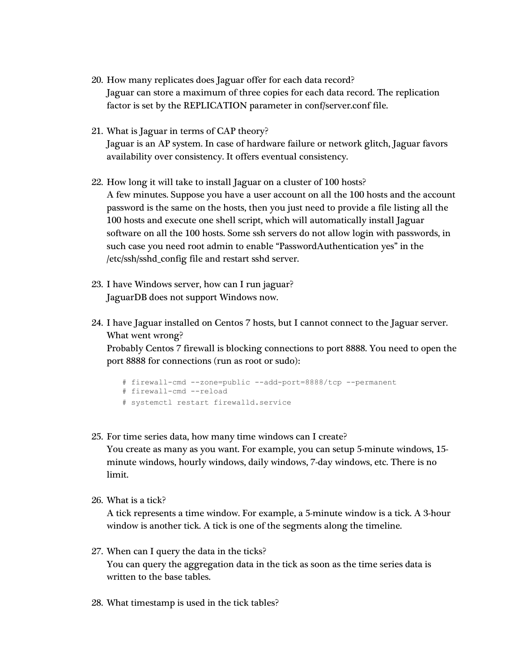- 20. How many replicates does Jaguar offer for each data record? Jaguar can store a maximum of three copies for each data record. The replication factor is set by the REPLICATION parameter in conf/server.conf file.
- 21. What is Jaguar in terms of CAP theory? Jaguar is an AP system. In case of hardware failure or network glitch, Jaguar favors availability over consistency. It offers eventual consistency.
- 22. How long it will take to install Jaguar on a cluster of 100 hosts? A few minutes. Suppose you have a user account on all the 100 hosts and the account password is the same on the hosts, then you just need to provide a file listing all the 100 hosts and execute one shell script, which will automatically install Jaguar software on all the 100 hosts. Some ssh servers do not allow login with passwords, in such case you need root admin to enable "PasswordAuthentication yes" in the /etc/ssh/sshd\_config file and restart sshd server.
- 23. I have Windows server, how can I run jaguar? JaguarDB does not support Windows now.
- 24. I have Jaguar installed on Centos 7 hosts, but I cannot connect to the Jaguar server. What went wrong?

Probably Centos 7 firewall is blocking connections to port 8888. You need to open the port 8888 for connections (run as root or sudo):

```
# firewall-cmd --zone=public --add-port=8888/tcp --permanent
# firewall-cmd --reload
# systemctl restart firewalld.service
```
- 25. For time series data, how many time windows can I create? You create as many as you want. For example, you can setup 5-minute windows, 15 minute windows, hourly windows, daily windows, 7-day windows, etc. There is no limit.
- 26. What is a tick?

A tick represents a time window. For example, a 5-minute window is a tick. A 3-hour window is another tick. A tick is one of the segments along the timeline.

27. When can I query the data in the ticks?

You can query the aggregation data in the tick as soon as the time series data is written to the base tables.

28. What timestamp is used in the tick tables?